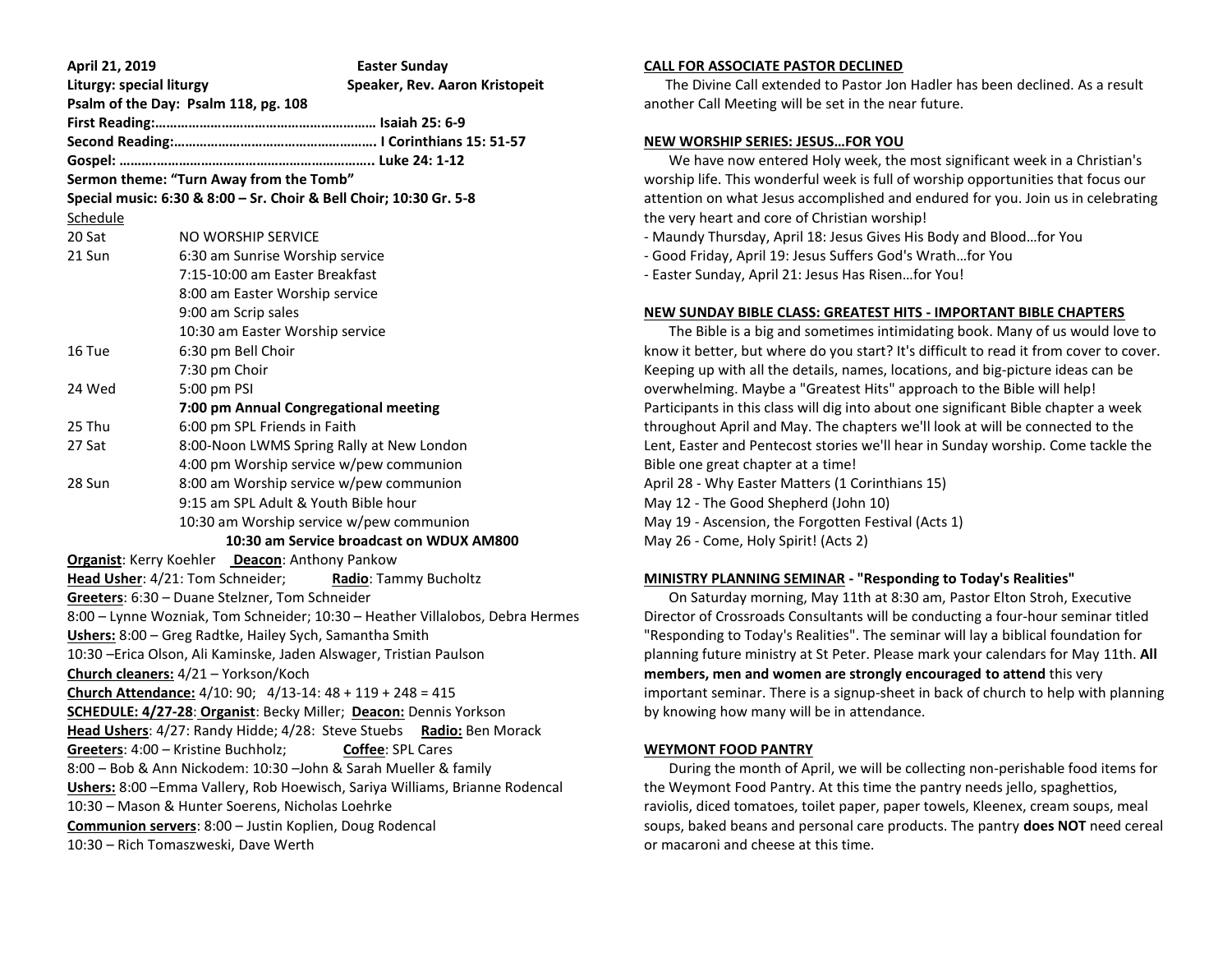| April 21, 2019                                                                | <b>Easter Sunday</b>                      |
|-------------------------------------------------------------------------------|-------------------------------------------|
| Liturgy: special liturgy                                                      | Speaker, Rev. Aaron Kristopeit            |
| Psalm of the Day: Psalm 118, pg. 108                                          |                                           |
|                                                                               |                                           |
|                                                                               |                                           |
|                                                                               |                                           |
| Sermon theme: "Turn Away from the Tomb"                                       |                                           |
| Special music: 6:30 & 8:00 - Sr. Choir & Bell Choir; 10:30 Gr. 5-8            |                                           |
| Schedule                                                                      |                                           |
| 20 Sat                                                                        | NO WORSHIP SERVICE                        |
| 21 Sun                                                                        | 6:30 am Sunrise Worship service           |
|                                                                               | 7:15-10:00 am Easter Breakfast            |
|                                                                               | 8:00 am Easter Worship service            |
|                                                                               | 9:00 am Scrip sales                       |
|                                                                               | 10:30 am Easter Worship service           |
| 16 Tue                                                                        | 6:30 pm Bell Choir                        |
|                                                                               | 7:30 pm Choir                             |
| 24 Wed                                                                        | 5:00 pm PSI                               |
|                                                                               | 7:00 pm Annual Congregational meeting     |
| 25 Thu                                                                        | 6:00 pm SPL Friends in Faith              |
| 27 Sat                                                                        | 8:00-Noon LWMS Spring Rally at New London |
|                                                                               | 4:00 pm Worship service w/pew communion   |
| 28 Sun                                                                        | 8:00 am Worship service w/pew communion   |
|                                                                               | 9:15 am SPL Adult & Youth Bible hour      |
|                                                                               | 10:30 am Worship service w/pew communion  |
| 10:30 am Service broadcast on WDUX AM800                                      |                                           |
| <b>Organist:</b> Kerry Koehler <b>Deacon:</b> Anthony Pankow                  |                                           |
| Head Usher: 4/21: Tom Schneider;<br>Radio: Tammy Bucholtz                     |                                           |
| Greeters: 6:30 - Duane Stelzner, Tom Schneider                                |                                           |
| 8:00 - Lynne Wozniak, Tom Schneider; 10:30 - Heather Villalobos, Debra Hermes |                                           |
| Ushers: 8:00 - Greg Radtke, Hailey Sych, Samantha Smith                       |                                           |
| 10:30 - Erica Olson, Ali Kaminske, Jaden Alswager, Tristian Paulson           |                                           |
| Church cleaners: 4/21 - Yorkson/Koch                                          |                                           |
| Church Attendance: $4/10$ : 90; $4/13$ -14: 48 + 119 + 248 = 415              |                                           |
| SCHEDULE: 4/27-28: Organist: Becky Miller; Deacon: Dennis Yorkson             |                                           |
| Head Ushers: 4/27: Randy Hidde; 4/28: Steve Stuebs<br>Radio: Ben Morack       |                                           |
| Greeters: 4:00 - Kristine Buchholz;<br>Coffee: SPL Cares                      |                                           |
| 8:00 - Bob & Ann Nickodem: 10:30 - John & Sarah Mueller & family              |                                           |
| Ushers: 8:00 - Emma Vallery, Rob Hoewisch, Sariya Williams, Brianne Rodencal  |                                           |
| 10:30 - Mason & Hunter Soerens, Nicholas Loehrke                              |                                           |
| Communion servers: 8:00 - Justin Koplien, Doug Rodencal                       |                                           |
| 10:30 - Rich Tomaszweski, Dave Werth                                          |                                           |

#### **CALL FOR ASSOCIATE PASTOR DECLINED**

 The Divine Call extended to Pastor Jon Hadler has been declined. As a result another Call Meeting will be set in the near future.

## **NEW WORSHIP SERIES: JESUS…FOR YOU**

 We have now entered Holy week, the most significant week in a Christian's worship life. This wonderful week is full of worship opportunities that focus our attention on what Jesus accomplished and endured for you. Join us in celebrating the very heart and core of Christian worship!

- Maundy Thursday, April 18: Jesus Gives His Body and Blood…for You
- Good Friday, April 19: Jesus Suffers God's Wrath…for You
- Easter Sunday, April 21: Jesus Has Risen…for You!

# **NEW SUNDAY BIBLE CLASS: GREATEST HITS - IMPORTANT BIBLE CHAPTERS**

 The Bible is a big and sometimes intimidating book. Many of us would love to know it better, but where do you start? It's difficult to read it from cover to cover. Keeping up with all the details, names, locations, and big-picture ideas can be overwhelming. Maybe a "Greatest Hits" approach to the Bible will help! Participants in this class will dig into about one significant Bible chapter a week throughout April and May. The chapters we'll look at will be connected to the Lent, Easter and Pentecost stories we'll hear in Sunday worship. Come tackle the Bible one great chapter at a time! April 28 - Why Easter Matters (1 Corinthians 15)

- May 12 The Good Shepherd (John 10)
- May 19 Ascension, the Forgotten Festival (Acts 1)
- May 26 Come, Holy Spirit! (Acts 2)

## **MINISTRY PLANNING SEMINAR - "Responding to Today's Realities"**

 On Saturday morning, May 11th at 8:30 am, Pastor Elton Stroh, Executive Director of Crossroads Consultants will be conducting a four-hour seminar titled "Responding to Today's Realities". The seminar will lay a biblical foundation for planning future ministry at St Peter. Please mark your calendars for May 11th. **All members, men and women are strongly encouraged to attend** this very important seminar. There is a signup-sheet in back of church to help with planning by knowing how many will be in attendance.

## **WEYMONT FOOD PANTRY**

During the month of April, we will be collecting non-perishable food items for the Weymont Food Pantry. At this time the pantry needs jello, spaghettios, raviolis, diced tomatoes, toilet paper, paper towels, Kleenex, cream soups, meal soups, baked beans and personal care products. The pantry **does NOT** need cereal or macaroni and cheese at this time.